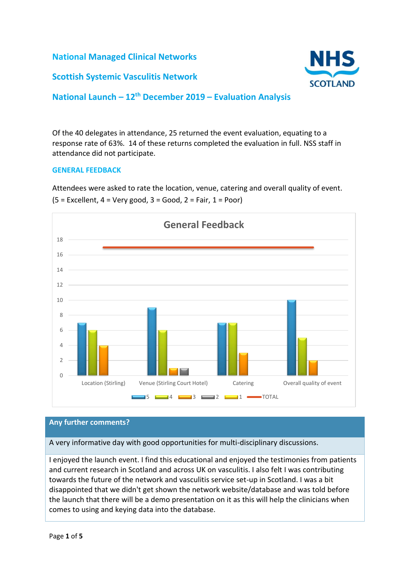**National Managed Clinical Networks**

# **Scottish Systemic Vasculitis Network**



# **National Launch – 12th December 2019 – Evaluation Analysis**

Of the 40 delegates in attendance, 25 returned the event evaluation, equating to a response rate of 63%. 14 of these returns completed the evaluation in full. NSS staff in attendance did not participate.

#### **GENERAL FEEDBACK**

Attendees were asked to rate the location, venue, catering and overall quality of event.  $(5 = Excellent, 4 = Very good, 3 = Good, 2 = Fair, 1 = Poor)$ 



#### **Any further comments?**

A very informative day with good opportunities for multi-disciplinary discussions.

I enjoyed the launch event. I find this educational and enjoyed the testimonies from patients and current research in Scotland and across UK on vasculitis. I also felt I was contributing towards the future of the network and vasculitis service set-up in Scotland. I was a bit disappointed that we didn't get shown the network website/database and was told before the launch that there will be a demo presentation on it as this will help the clinicians when comes to using and keying data into the database.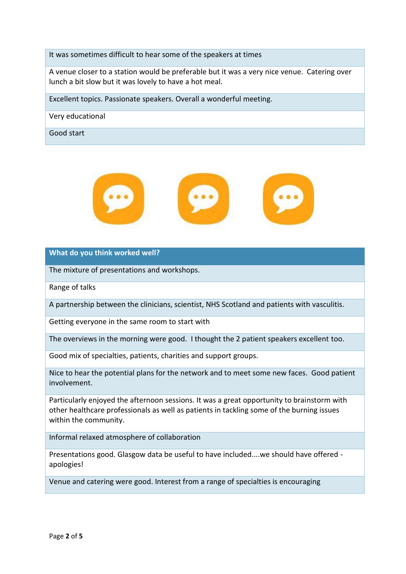It was sometimes difficult to hear some of the speakers at times

A venue closer to a station would be preferable but it was a very nice venue. Catering over lunch a bit slow but it was lovely to have a hot meal.

Excellent topics. Passionate speakers. Overall a wonderful meeting.

Very educational

Good start



**What do you think worked well?**

The mixture of presentations and workshops.

Range of talks

A partnership between the clinicians, scientist, NHS Scotland and patients with vasculitis.

Getting everyone in the same room to start with

The overviews in the morning were good. I thought the 2 patient speakers excellent too.

Good mix of specialties, patients, charities and support groups.

Nice to hear the potential plans for the network and to meet some new faces. Good patient involvement.

Particularly enjoyed the afternoon sessions. It was a great opportunity to brainstorm with other healthcare professionals as well as patients in tackling some of the burning issues within the community.

Informal relaxed atmosphere of collaboration

Presentations good. Glasgow data be useful to have included....we should have offered apologies!

Venue and catering were good. Interest from a range of specialties is encouraging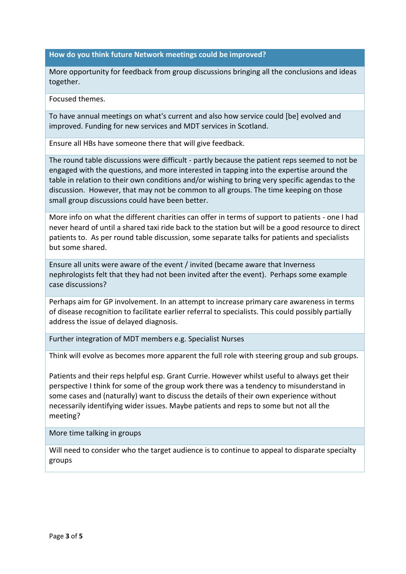#### **How do you think future Network meetings could be improved?**

More opportunity for feedback from group discussions bringing all the conclusions and ideas together.

Focused themes.

To have annual meetings on what's current and also how service could [be] evolved and improved. Funding for new services and MDT services in Scotland.

Ensure all HBs have someone there that will give feedback.

The round table discussions were difficult - partly because the patient reps seemed to not be engaged with the questions, and more interested in tapping into the expertise around the table in relation to their own conditions and/or wishing to bring very specific agendas to the discussion. However, that may not be common to all groups. The time keeping on those small group discussions could have been better.

More info on what the different charities can offer in terms of support to patients - one I had never heard of until a shared taxi ride back to the station but will be a good resource to direct patients to. As per round table discussion, some separate talks for patients and specialists but some shared.

Ensure all units were aware of the event / invited (became aware that Inverness nephrologists felt that they had not been invited after the event). Perhaps some example case discussions?

Perhaps aim for GP involvement. In an attempt to increase primary care awareness in terms of disease recognition to facilitate earlier referral to specialists. This could possibly partially address the issue of delayed diagnosis.

Further integration of MDT members e.g. Specialist Nurses

Think will evolve as becomes more apparent the full role with steering group and sub groups.

Patients and their reps helpful esp. Grant Currie. However whilst useful to always get their perspective I think for some of the group work there was a tendency to misunderstand in some cases and (naturally) want to discuss the details of their own experience without necessarily identifying wider issues. Maybe patients and reps to some but not all the meeting?

More time talking in groups

Will need to consider who the target audience is to continue to appeal to disparate specialty groups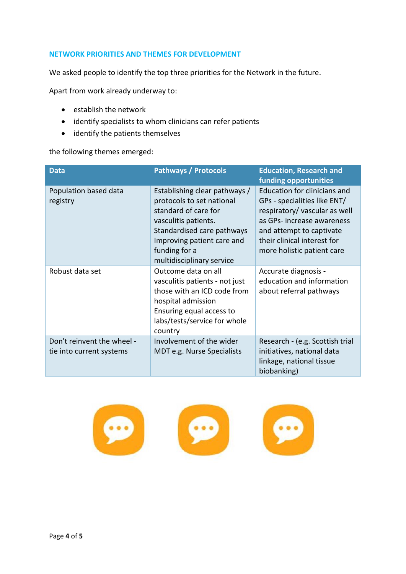# **NETWORK PRIORITIES AND THEMES FOR DEVELOPMENT**

We asked people to identify the top three priorities for the Network in the future.

Apart from work already underway to:

- establish the network
- identify specialists to whom clinicians can refer patients
- identify the patients themselves

the following themes emerged:

| <b>Data</b>                                            | <b>Pathways / Protocols</b>                                                                                                                                                                                          | <b>Education, Research and</b><br>funding opportunities                                                                                                                                                             |
|--------------------------------------------------------|----------------------------------------------------------------------------------------------------------------------------------------------------------------------------------------------------------------------|---------------------------------------------------------------------------------------------------------------------------------------------------------------------------------------------------------------------|
| Population based data<br>registry                      | Establishing clear pathways /<br>protocols to set national<br>standard of care for<br>vasculitis patients.<br>Standardised care pathways<br>Improving patient care and<br>funding for a<br>multidisciplinary service | Education for clinicians and<br>GPs - specialities like ENT/<br>respiratory/ vascular as well<br>as GPs-increase awareness<br>and attempt to captivate<br>their clinical interest for<br>more holistic patient care |
| Robust data set                                        | Outcome data on all<br>vasculitis patients - not just<br>those with an ICD code from<br>hospital admission<br>Ensuring equal access to<br>labs/tests/service for whole<br>country                                    | Accurate diagnosis -<br>education and information<br>about referral pathways                                                                                                                                        |
| Don't reinvent the wheel -<br>tie into current systems | Involvement of the wider<br>MDT e.g. Nurse Specialists                                                                                                                                                               | Research - (e.g. Scottish trial<br>initiatives, national data<br>linkage, national tissue<br>biobanking)                                                                                                            |